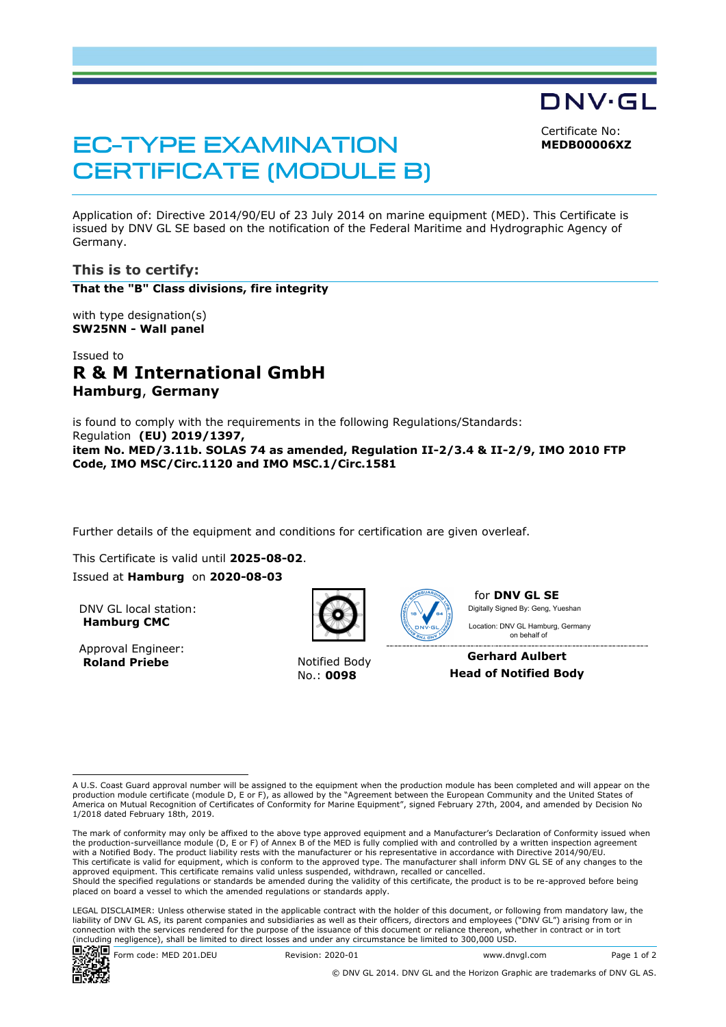DNV·GL Certificate No:

**MEDB00006XZ**

# **EC-TYPE EXAMINATION CERTIFICATE (MODULE B)**

Application of: Directive 2014/90/EU of 23 July 2014 on marine equipment (MED). This Certificate is issued by DNV GL SE based on the notification of the Federal Maritime and Hydrographic Agency of Germany.

# **This is to certify:**

**That the "B" Class divisions, fire integrity**

with type designation(s) **SW25NN - Wall panel**

# Issued to **R & M International GmbH Hamburg**, **Germany**

is found to comply with the requirements in the following Regulations/Standards: Regulation **(EU) 2019/1397, item No. MED/3.11b. SOLAS 74 as amended, Regulation II-2/3.4 & II-2/9, IMO 2010 FTP Code, IMO MSC/Circ.1120 and IMO MSC.1/Circ.1581**

Further details of the equipment and conditions for certification are given overleaf.

This Certificate is valid until **2025-08-02**.

Issued at **Hamburg** on **2020-08-03**

DNV GL local station: **Hamburg CMC**

Approval Engineer: **Roland Priebe** Notified Body



No.: **0098**



for **DNV GL SE** Digitally Signed By: Geng, Yueshan

 on behalf ofLocation: DNV GL Hamburg, Germany

**Gerhard Aulbert Head of Notified Body**

LEGAL DISCLAIMER: Unless otherwise stated in the applicable contract with the holder of this document, or following from mandatory law, the liability of DNV GL AS, its parent companies and subsidiaries as well as their officers, directors and employees ("DNV GL") arising from or in connection with the services rendered for the purpose of the issuance of this document or reliance thereon, whether in contract or in tort (including negligence), shall be limited to direct losses and under any circumstance be limited to 300,000 USD.



A U.S. Coast Guard approval number will be assigned to the equipment when the production module has been completed and will appear on the production module certificate (module D, E or F), as allowed by the "Agreement between the European Community and the United States of America on Mutual Recognition of Certificates of Conformity for Marine Equipment", signed February 27th, 2004, and amended by Decision No 1/2018 dated February 18th, 2019.

The mark of conformity may only be affixed to the above type approved equipment and a Manufacturer's Declaration of Conformity issued when<br>the production-surveillance module (D, E or F) of Annex B of the MED is fully compl with a Notified Body. The product liability rests with the manufacturer or his representative in accordance with Directive 2014/90/EU. This certificate is valid for equipment, which is conform to the approved type. The manufacturer shall inform DNV GL SE of any changes to the approved equipment. This certificate remains valid unless suspended, withdrawn, recalled or cancelled. Should the specified regulations or standards be amended during the validity of this certificate, the product is to be re-approved before being placed on board a vessel to which the amended regulations or standards apply.